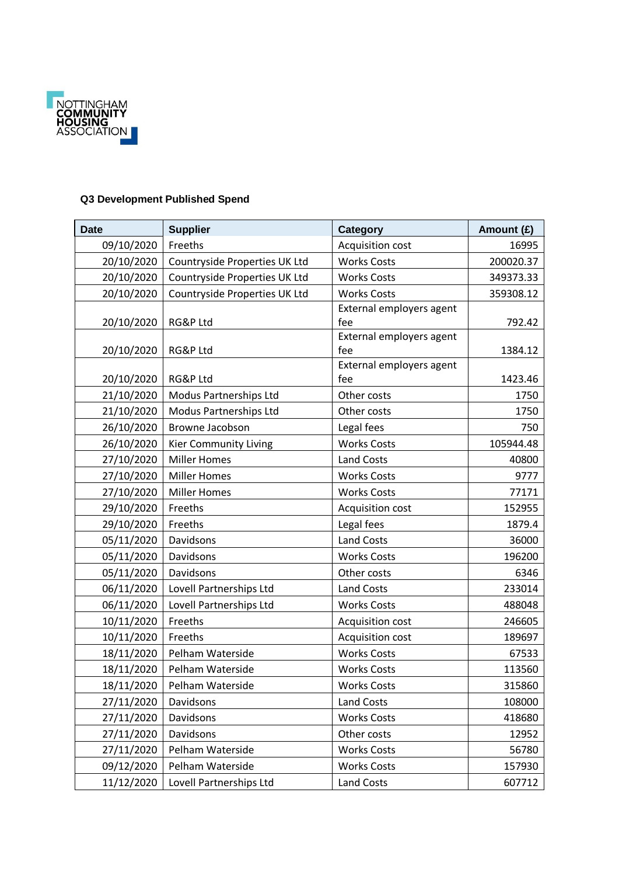

## **Q3 Development Published Spend**

| <b>Date</b>              | <b>Supplier</b>                    | Category                             | Amount (£) |
|--------------------------|------------------------------------|--------------------------------------|------------|
| 09/10/2020               | Freeths                            | Acquisition cost                     | 16995      |
| 20/10/2020               | Countryside Properties UK Ltd      | <b>Works Costs</b>                   | 200020.37  |
| 20/10/2020               | Countryside Properties UK Ltd      | <b>Works Costs</b>                   | 349373.33  |
| 20/10/2020               | Countryside Properties UK Ltd      | <b>Works Costs</b>                   | 359308.12  |
|                          |                                    | External employers agent             |            |
| 20/10/2020               | RG&P Ltd                           | fee                                  | 792.42     |
|                          |                                    | External employers agent             |            |
| 20/10/2020               | RG&P Ltd                           | fee                                  | 1384.12    |
| 20/10/2020               | RG&P Ltd                           | External employers agent<br>fee      | 1423.46    |
| 21/10/2020               | Modus Partnerships Ltd             | Other costs                          | 1750       |
| 21/10/2020               | Modus Partnerships Ltd             | Other costs                          | 1750       |
| 26/10/2020               | Browne Jacobson                    | Legal fees                           | 750        |
| 26/10/2020               | <b>Kier Community Living</b>       | <b>Works Costs</b>                   | 105944.48  |
| 27/10/2020               | <b>Miller Homes</b>                | <b>Land Costs</b>                    | 40800      |
| 27/10/2020               | <b>Miller Homes</b>                | <b>Works Costs</b>                   | 9777       |
| 27/10/2020               | <b>Miller Homes</b>                | <b>Works Costs</b>                   | 77171      |
| 29/10/2020               | Freeths                            | Acquisition cost                     | 152955     |
| 29/10/2020               | Freeths                            | Legal fees                           | 1879.4     |
| 05/11/2020               | Davidsons                          | <b>Land Costs</b>                    | 36000      |
| 05/11/2020               | Davidsons                          | <b>Works Costs</b>                   | 196200     |
| 05/11/2020               | Davidsons                          | Other costs                          | 6346       |
| 06/11/2020               | Lovell Partnerships Ltd            | Land Costs                           | 233014     |
|                          |                                    | <b>Works Costs</b>                   | 488048     |
| 06/11/2020<br>10/11/2020 | Lovell Partnerships Ltd<br>Freeths |                                      | 246605     |
|                          | Freeths                            | Acquisition cost<br>Acquisition cost |            |
| 10/11/2020               |                                    |                                      | 189697     |
| 18/11/2020               | Pelham Waterside                   | <b>Works Costs</b>                   | 67533      |
| 18/11/2020               | Pelham Waterside                   | <b>Works Costs</b>                   | 113560     |
| 18/11/2020               | Pelham Waterside                   | <b>Works Costs</b>                   | 315860     |
| 27/11/2020               | Davidsons                          | <b>Land Costs</b>                    | 108000     |
| 27/11/2020               | Davidsons                          | <b>Works Costs</b>                   | 418680     |
| 27/11/2020               | Davidsons                          | Other costs                          | 12952      |
| 27/11/2020               | Pelham Waterside                   | <b>Works Costs</b>                   | 56780      |
| 09/12/2020               | Pelham Waterside                   | <b>Works Costs</b>                   | 157930     |
| 11/12/2020               | Lovell Partnerships Ltd            | Land Costs                           | 607712     |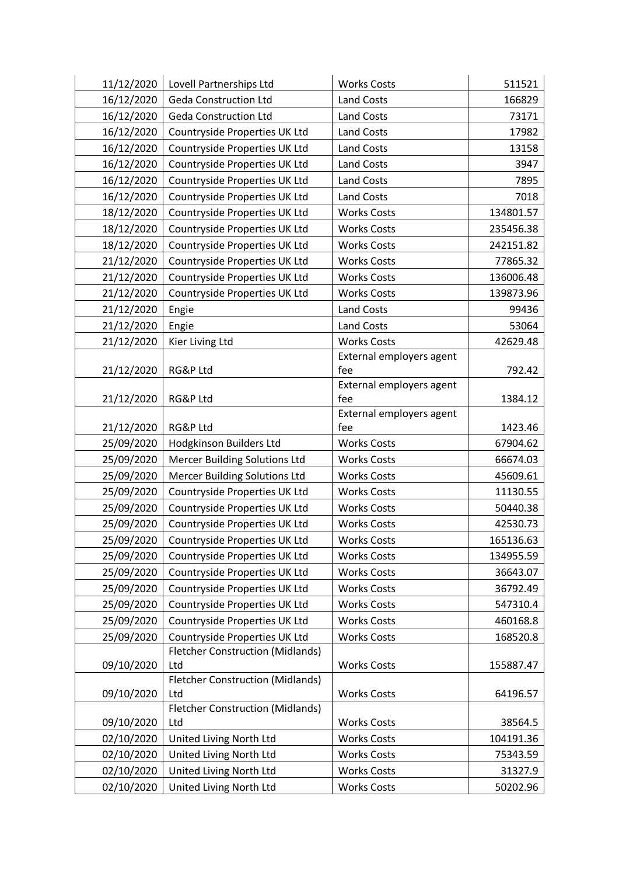| 11/12/2020 | Lovell Partnerships Ltd                        | <b>Works Costs</b>              | 511521    |
|------------|------------------------------------------------|---------------------------------|-----------|
| 16/12/2020 | <b>Geda Construction Ltd</b>                   | <b>Land Costs</b>               | 166829    |
| 16/12/2020 | <b>Geda Construction Ltd</b>                   | Land Costs                      | 73171     |
| 16/12/2020 | Countryside Properties UK Ltd                  | Land Costs                      | 17982     |
| 16/12/2020 | Countryside Properties UK Ltd                  | <b>Land Costs</b>               | 13158     |
| 16/12/2020 | Countryside Properties UK Ltd                  | <b>Land Costs</b>               | 3947      |
| 16/12/2020 | Countryside Properties UK Ltd                  | <b>Land Costs</b>               | 7895      |
| 16/12/2020 | Countryside Properties UK Ltd                  | Land Costs                      | 7018      |
| 18/12/2020 | Countryside Properties UK Ltd                  | <b>Works Costs</b>              | 134801.57 |
| 18/12/2020 | Countryside Properties UK Ltd                  | <b>Works Costs</b>              | 235456.38 |
| 18/12/2020 | Countryside Properties UK Ltd                  | <b>Works Costs</b>              | 242151.82 |
| 21/12/2020 | Countryside Properties UK Ltd                  | <b>Works Costs</b>              | 77865.32  |
| 21/12/2020 | Countryside Properties UK Ltd                  | <b>Works Costs</b>              | 136006.48 |
| 21/12/2020 | Countryside Properties UK Ltd                  | <b>Works Costs</b>              | 139873.96 |
| 21/12/2020 | Engie                                          | Land Costs                      | 99436     |
| 21/12/2020 | Engie                                          | <b>Land Costs</b>               | 53064     |
| 21/12/2020 | Kier Living Ltd                                | <b>Works Costs</b>              | 42629.48  |
|            |                                                | External employers agent        |           |
| 21/12/2020 | RG&P Ltd                                       | fee                             | 792.42    |
|            |                                                | External employers agent        |           |
| 21/12/2020 | RG&P Ltd                                       | fee                             | 1384.12   |
| 21/12/2020 | RG&P Ltd                                       | External employers agent<br>fee | 1423.46   |
| 25/09/2020 | Hodgkinson Builders Ltd                        | <b>Works Costs</b>              | 67904.62  |
| 25/09/2020 | Mercer Building Solutions Ltd                  | <b>Works Costs</b>              | 66674.03  |
| 25/09/2020 | <b>Mercer Building Solutions Ltd</b>           | <b>Works Costs</b>              | 45609.61  |
| 25/09/2020 | Countryside Properties UK Ltd                  | <b>Works Costs</b>              | 11130.55  |
| 25/09/2020 | Countryside Properties UK Ltd                  | <b>Works Costs</b>              | 50440.38  |
| 25/09/2020 | Countryside Properties UK Ltd                  | <b>Works Costs</b>              | 42530.73  |
| 25/09/2020 | Countryside Properties UK Ltd                  | <b>Works Costs</b>              | 165136.63 |
| 25/09/2020 | Countryside Properties UK Ltd                  | <b>Works Costs</b>              | 134955.59 |
| 25/09/2020 | Countryside Properties UK Ltd                  | <b>Works Costs</b>              | 36643.07  |
| 25/09/2020 | Countryside Properties UK Ltd                  | <b>Works Costs</b>              | 36792.49  |
| 25/09/2020 | Countryside Properties UK Ltd                  | <b>Works Costs</b>              | 547310.4  |
| 25/09/2020 | Countryside Properties UK Ltd                  | <b>Works Costs</b>              | 460168.8  |
| 25/09/2020 | Countryside Properties UK Ltd                  | <b>Works Costs</b>              | 168520.8  |
|            | <b>Fletcher Construction (Midlands)</b>        |                                 |           |
| 09/10/2020 | Ltd                                            | <b>Works Costs</b>              | 155887.47 |
|            | <b>Fletcher Construction (Midlands)</b>        |                                 |           |
| 09/10/2020 | Ltd                                            | <b>Works Costs</b>              | 64196.57  |
| 09/10/2020 | <b>Fletcher Construction (Midlands)</b><br>Ltd | <b>Works Costs</b>              | 38564.5   |
| 02/10/2020 | United Living North Ltd                        | <b>Works Costs</b>              | 104191.36 |
| 02/10/2020 | United Living North Ltd                        | <b>Works Costs</b>              | 75343.59  |
| 02/10/2020 | United Living North Ltd                        | <b>Works Costs</b>              | 31327.9   |
| 02/10/2020 | United Living North Ltd                        | <b>Works Costs</b>              | 50202.96  |
|            |                                                |                                 |           |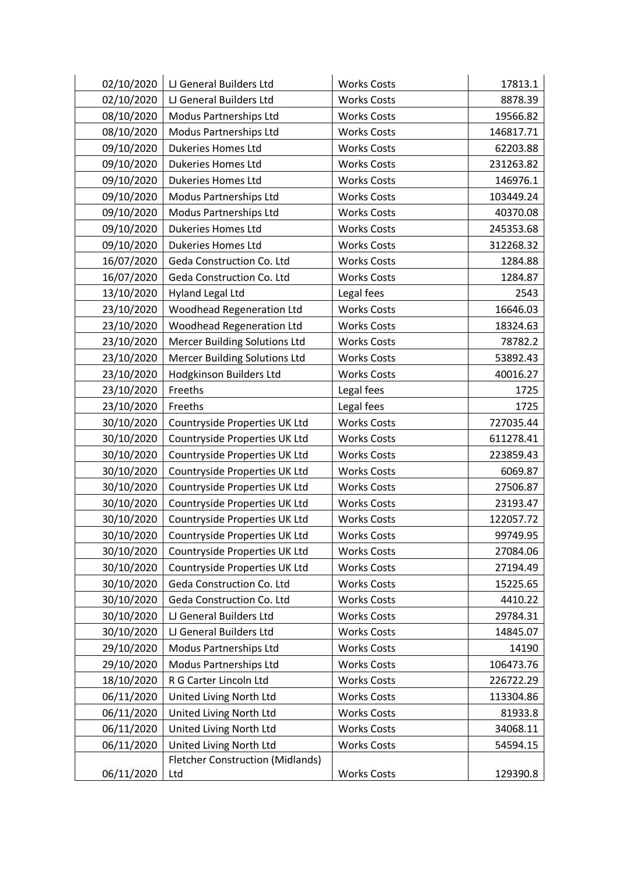| 02/10/2020 | LJ General Builders Ltd                 | <b>Works Costs</b> | 17813.1   |
|------------|-----------------------------------------|--------------------|-----------|
| 02/10/2020 | LJ General Builders Ltd                 | <b>Works Costs</b> | 8878.39   |
| 08/10/2020 | Modus Partnerships Ltd                  | <b>Works Costs</b> | 19566.82  |
| 08/10/2020 | Modus Partnerships Ltd                  | <b>Works Costs</b> | 146817.71 |
| 09/10/2020 | <b>Dukeries Homes Ltd</b>               | <b>Works Costs</b> | 62203.88  |
| 09/10/2020 | Dukeries Homes Ltd                      | <b>Works Costs</b> | 231263.82 |
| 09/10/2020 | Dukeries Homes Ltd                      | <b>Works Costs</b> | 146976.1  |
| 09/10/2020 | Modus Partnerships Ltd                  | <b>Works Costs</b> | 103449.24 |
| 09/10/2020 | Modus Partnerships Ltd                  | <b>Works Costs</b> | 40370.08  |
| 09/10/2020 | <b>Dukeries Homes Ltd</b>               | <b>Works Costs</b> | 245353.68 |
| 09/10/2020 | Dukeries Homes Ltd                      | <b>Works Costs</b> | 312268.32 |
| 16/07/2020 | Geda Construction Co. Ltd               | <b>Works Costs</b> | 1284.88   |
| 16/07/2020 | Geda Construction Co. Ltd               | <b>Works Costs</b> | 1284.87   |
| 13/10/2020 | <b>Hyland Legal Ltd</b>                 | Legal fees         | 2543      |
| 23/10/2020 | <b>Woodhead Regeneration Ltd</b>        | <b>Works Costs</b> | 16646.03  |
| 23/10/2020 | <b>Woodhead Regeneration Ltd</b>        | <b>Works Costs</b> | 18324.63  |
| 23/10/2020 | <b>Mercer Building Solutions Ltd</b>    | <b>Works Costs</b> | 78782.2   |
| 23/10/2020 | <b>Mercer Building Solutions Ltd</b>    | <b>Works Costs</b> | 53892.43  |
| 23/10/2020 | <b>Hodgkinson Builders Ltd</b>          | <b>Works Costs</b> | 40016.27  |
| 23/10/2020 | Freeths                                 | Legal fees         | 1725      |
| 23/10/2020 | Freeths                                 | Legal fees         | 1725      |
| 30/10/2020 | Countryside Properties UK Ltd           | <b>Works Costs</b> | 727035.44 |
| 30/10/2020 | Countryside Properties UK Ltd           | <b>Works Costs</b> | 611278.41 |
| 30/10/2020 | Countryside Properties UK Ltd           | <b>Works Costs</b> | 223859.43 |
| 30/10/2020 | Countryside Properties UK Ltd           | <b>Works Costs</b> | 6069.87   |
| 30/10/2020 | Countryside Properties UK Ltd           | <b>Works Costs</b> | 27506.87  |
| 30/10/2020 | Countryside Properties UK Ltd           | <b>Works Costs</b> | 23193.47  |
| 30/10/2020 | Countryside Properties UK Ltd           | <b>Works Costs</b> | 122057.72 |
| 30/10/2020 | Countryside Properties UK Ltd           | <b>Works Costs</b> | 99749.95  |
| 30/10/2020 | Countryside Properties UK Ltd           | <b>Works Costs</b> | 27084.06  |
| 30/10/2020 | Countryside Properties UK Ltd           | <b>Works Costs</b> | 27194.49  |
| 30/10/2020 | Geda Construction Co. Ltd               | <b>Works Costs</b> | 15225.65  |
| 30/10/2020 | Geda Construction Co. Ltd               | <b>Works Costs</b> | 4410.22   |
| 30/10/2020 | LJ General Builders Ltd                 | <b>Works Costs</b> | 29784.31  |
| 30/10/2020 | LJ General Builders Ltd                 | <b>Works Costs</b> | 14845.07  |
| 29/10/2020 | Modus Partnerships Ltd                  | <b>Works Costs</b> | 14190     |
| 29/10/2020 | Modus Partnerships Ltd                  | <b>Works Costs</b> | 106473.76 |
| 18/10/2020 | R G Carter Lincoln Ltd                  | <b>Works Costs</b> | 226722.29 |
| 06/11/2020 | United Living North Ltd                 | <b>Works Costs</b> | 113304.86 |
| 06/11/2020 | United Living North Ltd                 | <b>Works Costs</b> | 81933.8   |
| 06/11/2020 | United Living North Ltd                 | <b>Works Costs</b> | 34068.11  |
| 06/11/2020 | United Living North Ltd                 | <b>Works Costs</b> | 54594.15  |
|            | <b>Fletcher Construction (Midlands)</b> |                    |           |
| 06/11/2020 | Ltd                                     | <b>Works Costs</b> | 129390.8  |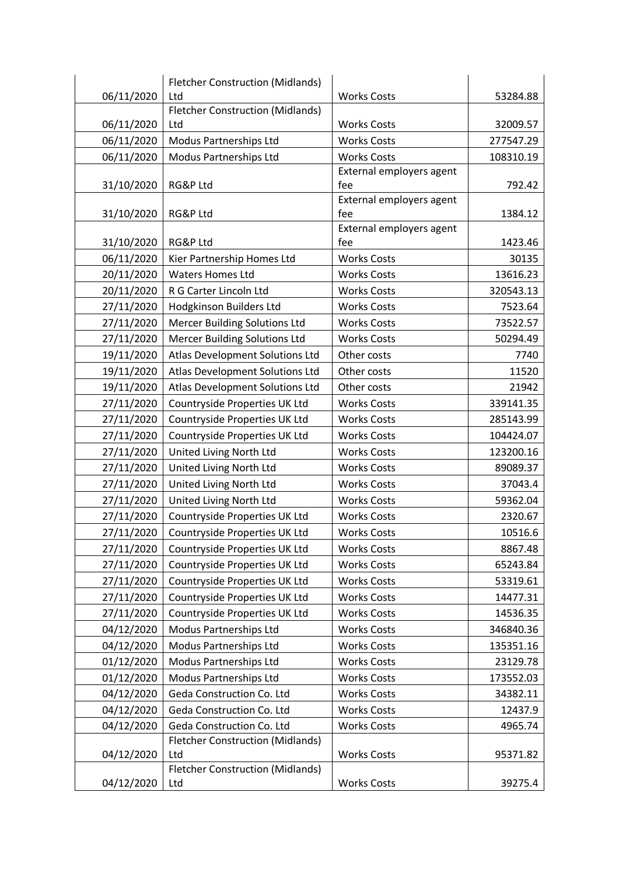|            | <b>Fletcher Construction (Midlands)</b> |                                 |           |
|------------|-----------------------------------------|---------------------------------|-----------|
| 06/11/2020 | Ltd                                     | <b>Works Costs</b>              | 53284.88  |
|            | <b>Fletcher Construction (Midlands)</b> |                                 |           |
| 06/11/2020 | Ltd                                     | <b>Works Costs</b>              | 32009.57  |
| 06/11/2020 | Modus Partnerships Ltd                  | <b>Works Costs</b>              | 277547.29 |
| 06/11/2020 | Modus Partnerships Ltd                  | <b>Works Costs</b>              | 108310.19 |
|            |                                         | External employers agent        |           |
| 31/10/2020 | RG&P Ltd                                | fee                             | 792.42    |
|            |                                         | External employers agent        |           |
| 31/10/2020 | RG&P Ltd                                | fee                             | 1384.12   |
| 31/10/2020 | <b>RG&amp;P Ltd</b>                     | External employers agent<br>fee | 1423.46   |
| 06/11/2020 | Kier Partnership Homes Ltd              | <b>Works Costs</b>              | 30135     |
| 20/11/2020 | <b>Waters Homes Ltd</b>                 | <b>Works Costs</b>              | 13616.23  |
| 20/11/2020 | R G Carter Lincoln Ltd                  | <b>Works Costs</b>              | 320543.13 |
|            |                                         | <b>Works Costs</b>              |           |
| 27/11/2020 | Hodgkinson Builders Ltd                 |                                 | 7523.64   |
| 27/11/2020 | <b>Mercer Building Solutions Ltd</b>    | <b>Works Costs</b>              | 73522.57  |
| 27/11/2020 | <b>Mercer Building Solutions Ltd</b>    | <b>Works Costs</b>              | 50294.49  |
| 19/11/2020 | Atlas Development Solutions Ltd         | Other costs                     | 7740      |
| 19/11/2020 | Atlas Development Solutions Ltd         | Other costs                     | 11520     |
| 19/11/2020 | Atlas Development Solutions Ltd         | Other costs                     | 21942     |
| 27/11/2020 | Countryside Properties UK Ltd           | <b>Works Costs</b>              | 339141.35 |
| 27/11/2020 | Countryside Properties UK Ltd           | <b>Works Costs</b>              | 285143.99 |
| 27/11/2020 | Countryside Properties UK Ltd           | <b>Works Costs</b>              | 104424.07 |
| 27/11/2020 | United Living North Ltd                 | <b>Works Costs</b>              | 123200.16 |
| 27/11/2020 | United Living North Ltd                 | <b>Works Costs</b>              | 89089.37  |
| 27/11/2020 | United Living North Ltd                 | <b>Works Costs</b>              | 37043.4   |
| 27/11/2020 | United Living North Ltd                 | <b>Works Costs</b>              | 59362.04  |
| 27/11/2020 | Countryside Properties UK Ltd           | <b>Works Costs</b>              | 2320.67   |
| 27/11/2020 | Countryside Properties UK Ltd           | <b>Works Costs</b>              | 10516.6   |
| 27/11/2020 | Countryside Properties UK Ltd           | <b>Works Costs</b>              | 8867.48   |
| 27/11/2020 | Countryside Properties UK Ltd           | <b>Works Costs</b>              | 65243.84  |
| 27/11/2020 | Countryside Properties UK Ltd           | <b>Works Costs</b>              | 53319.61  |
| 27/11/2020 | Countryside Properties UK Ltd           | <b>Works Costs</b>              | 14477.31  |
| 27/11/2020 | Countryside Properties UK Ltd           | <b>Works Costs</b>              | 14536.35  |
| 04/12/2020 | Modus Partnerships Ltd                  | <b>Works Costs</b>              | 346840.36 |
| 04/12/2020 | Modus Partnerships Ltd                  | <b>Works Costs</b>              | 135351.16 |
| 01/12/2020 | Modus Partnerships Ltd                  | <b>Works Costs</b>              | 23129.78  |
| 01/12/2020 | Modus Partnerships Ltd                  | <b>Works Costs</b>              | 173552.03 |
| 04/12/2020 | Geda Construction Co. Ltd               | <b>Works Costs</b>              | 34382.11  |
| 04/12/2020 | Geda Construction Co. Ltd               | <b>Works Costs</b>              | 12437.9   |
| 04/12/2020 | Geda Construction Co. Ltd               | <b>Works Costs</b>              | 4965.74   |
|            | <b>Fletcher Construction (Midlands)</b> |                                 |           |
| 04/12/2020 | Ltd                                     | <b>Works Costs</b>              | 95371.82  |
|            | <b>Fletcher Construction (Midlands)</b> |                                 |           |
| 04/12/2020 | Ltd                                     | <b>Works Costs</b>              | 39275.4   |